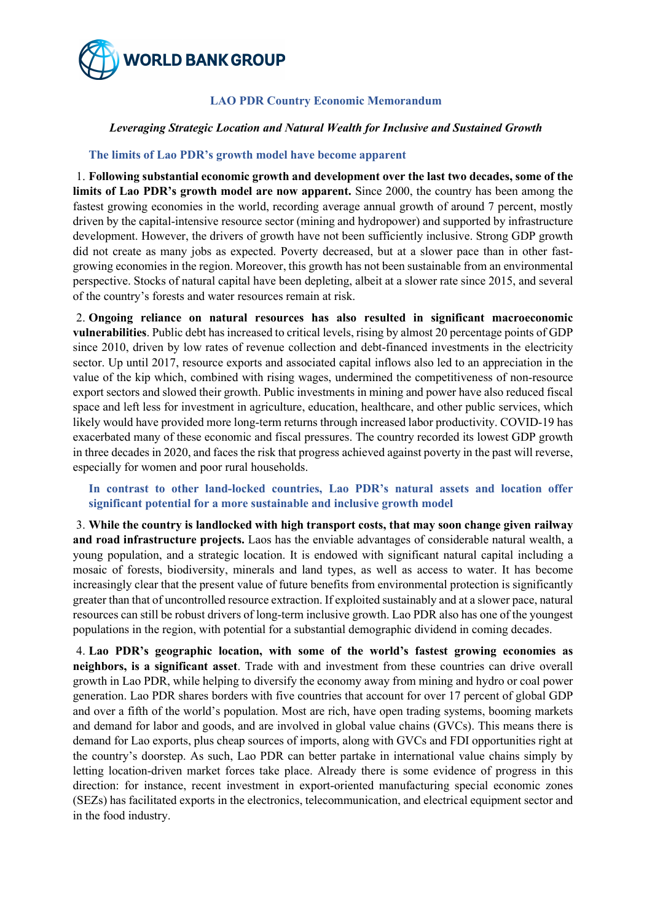

## **LAO PDR Country Economic Memorandum**

### *Leveraging Strategic Location and Natural Wealth for Inclusive and Sustained Growth*

### **The limits of Lao PDR's growth model have become apparent**

1. **Following substantial economic growth and development over the last two decades, some of the limits of Lao PDR's growth model are now apparent.** Since 2000, the country has been among the fastest growing economies in the world, recording average annual growth of around 7 percent, mostly driven by the capital-intensive resource sector (mining and hydropower) and supported by infrastructure development. However, the drivers of growth have not been sufficiently inclusive. Strong GDP growth did not create as many jobs as expected. Poverty decreased, but at a slower pace than in other fastgrowing economies in the region. Moreover, this growth has not been sustainable from an environmental perspective. Stocks of natural capital have been depleting, albeit at a slower rate since 2015, and several of the country's forests and water resources remain at risk.

2. **Ongoing reliance on natural resources has also resulted in significant macroeconomic vulnerabilities**. Public debt has increased to critical levels, rising by almost 20 percentage points of GDP since 2010, driven by low rates of revenue collection and debt-financed investments in the electricity sector. Up until 2017, resource exports and associated capital inflows also led to an appreciation in the value of the kip which, combined with rising wages, undermined the competitiveness of non-resource export sectors and slowed their growth. Public investments in mining and power have also reduced fiscal space and left less for investment in agriculture, education, healthcare, and other public services, which likely would have provided more long-term returns through increased labor productivity. COVID-19 has exacerbated many of these economic and fiscal pressures. The country recorded its lowest GDP growth in three decades in 2020, and faces the risk that progress achieved against poverty in the past will reverse, especially for women and poor rural households.

# **In contrast to other land-locked countries, Lao PDR's natural assets and location offer significant potential for a more sustainable and inclusive growth model**

3. **While the country is landlocked with high transport costs, that may soon change given railway and road infrastructure projects.** Laos has the enviable advantages of considerable natural wealth, a young population, and a strategic location. It is endowed with significant natural capital including a mosaic of forests, biodiversity, minerals and land types, as well as access to water. It has become increasingly clear that the present value of future benefits from environmental protection is significantly greater than that of uncontrolled resource extraction. If exploited sustainably and at a slower pace, natural resources can still be robust drivers of long-term inclusive growth. Lao PDR also has one of the youngest populations in the region, with potential for a substantial demographic dividend in coming decades.

4. **Lao PDR's geographic location, with some of the world's fastest growing economies as neighbors, is a significant asset**. Trade with and investment from these countries can drive overall growth in Lao PDR, while helping to diversify the economy away from mining and hydro or coal power generation. Lao PDR shares borders with five countries that account for over 17 percent of global GDP and over a fifth of the world's population. Most are rich, have open trading systems, booming markets and demand for labor and goods, and are involved in global value chains (GVCs). This means there is demand for Lao exports, plus cheap sources of imports, along with GVCs and FDI opportunities right at the country's doorstep. As such, Lao PDR can better partake in international value chains simply by letting location-driven market forces take place. Already there is some evidence of progress in this direction: for instance, recent investment in export-oriented manufacturing special economic zones (SEZs) has facilitated exports in the electronics, telecommunication, and electrical equipment sector and in the food industry.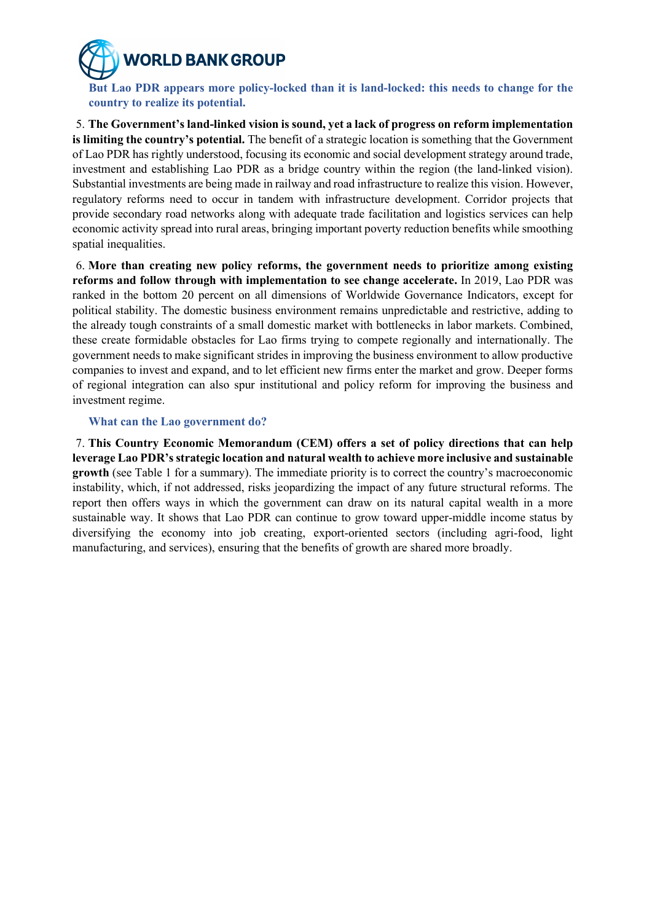*NORLD BANK GROUP* 

**But Lao PDR appears more policy-locked than it is land-locked: this needs to change for the country to realize its potential.**

5. **The Government's land-linked vision is sound, yet a lack of progress on reform implementation is limiting the country's potential.** The benefit of a strategic location is something that the Government of Lao PDR has rightly understood, focusing its economic and social development strategy around trade, investment and establishing Lao PDR as a bridge country within the region (the land-linked vision). Substantial investments are being made in railway and road infrastructure to realize this vision. However, regulatory reforms need to occur in tandem with infrastructure development. Corridor projects that provide secondary road networks along with adequate trade facilitation and logistics services can help economic activity spread into rural areas, bringing important poverty reduction benefits while smoothing spatial inequalities.

6. **More than creating new policy reforms, the government needs to prioritize among existing reforms and follow through with implementation to see change accelerate.** In 2019, Lao PDR was ranked in the bottom 20 percent on all dimensions of Worldwide Governance Indicators, except for political stability. The domestic business environment remains unpredictable and restrictive, adding to the already tough constraints of a small domestic market with bottlenecks in labor markets. Combined, these create formidable obstacles for Lao firms trying to compete regionally and internationally. The government needs to make significant strides in improving the business environment to allow productive companies to invest and expand, and to let efficient new firms enter the market and grow. Deeper forms of regional integration can also spur institutional and policy reform for improving the business and investment regime.

#### **What can the Lao government do?**

7. **This Country Economic Memorandum (CEM) offers a set of policy directions that can help leverage Lao PDR's strategic location and natural wealth to achieve more inclusive and sustainable growth** (see Table 1 for a summary). The immediate priority is to correct the country's macroeconomic instability, which, if not addressed, risks jeopardizing the impact of any future structural reforms. The report then offers ways in which the government can draw on its natural capital wealth in a more sustainable way. It shows that Lao PDR can continue to grow toward upper-middle income status by diversifying the economy into job creating, export-oriented sectors (including agri-food, light manufacturing, and services), ensuring that the benefits of growth are shared more broadly.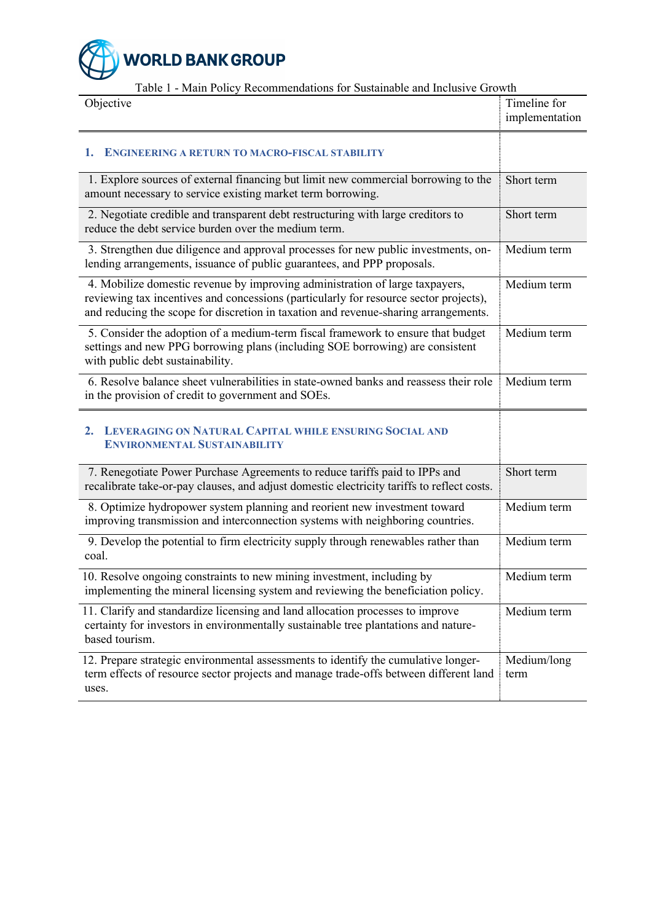

Table 1 - Main Policy Recommendations for Sustainable and Inclusive Growth

| Objective                                                                                                                                                                                                                                                    | Timeline for<br>implementation |
|--------------------------------------------------------------------------------------------------------------------------------------------------------------------------------------------------------------------------------------------------------------|--------------------------------|
| 1.<br><b>ENGINEERING A RETURN TO MACRO-FISCAL STABILITY</b>                                                                                                                                                                                                  |                                |
| 1. Explore sources of external financing but limit new commercial borrowing to the<br>amount necessary to service existing market term borrowing.                                                                                                            | Short term                     |
| 2. Negotiate credible and transparent debt restructuring with large creditors to<br>reduce the debt service burden over the medium term.                                                                                                                     | Short term                     |
| 3. Strengthen due diligence and approval processes for new public investments, on-<br>lending arrangements, issuance of public guarantees, and PPP proposals.                                                                                                | Medium term                    |
| 4. Mobilize domestic revenue by improving administration of large taxpayers,<br>reviewing tax incentives and concessions (particularly for resource sector projects),<br>and reducing the scope for discretion in taxation and revenue-sharing arrangements. | Medium term                    |
| 5. Consider the adoption of a medium-term fiscal framework to ensure that budget<br>settings and new PPG borrowing plans (including SOE borrowing) are consistent<br>with public debt sustainability.                                                        | Medium term                    |
| 6. Resolve balance sheet vulnerabilities in state-owned banks and reassess their role<br>in the provision of credit to government and SOEs.                                                                                                                  | Medium term                    |
| LEVERAGING ON NATURAL CAPITAL WHILE ENSURING SOCIAL AND<br>$2_{-}$<br><b>ENVIRONMENTAL SUSTAINABILITY</b>                                                                                                                                                    |                                |
| 7. Renegotiate Power Purchase Agreements to reduce tariffs paid to IPPs and<br>recalibrate take-or-pay clauses, and adjust domestic electricity tariffs to reflect costs.                                                                                    | Short term                     |
| 8. Optimize hydropower system planning and reorient new investment toward<br>improving transmission and interconnection systems with neighboring countries.                                                                                                  | Medium term                    |
| 9. Develop the potential to firm electricity supply through renewables rather than<br>coal.                                                                                                                                                                  | Medium term                    |
| 10. Resolve ongoing constraints to new mining investment, including by<br>implementing the mineral licensing system and reviewing the beneficiation policy.                                                                                                  | Medium term                    |
| 11. Clarify and standardize licensing and land allocation processes to improve<br>certainty for investors in environmentally sustainable tree plantations and nature-<br>based tourism.                                                                      | Medium term                    |
| 12. Prepare strategic environmental assessments to identify the cumulative longer-<br>term effects of resource sector projects and manage trade-offs between different land<br>uses.                                                                         | Medium/long<br>term            |